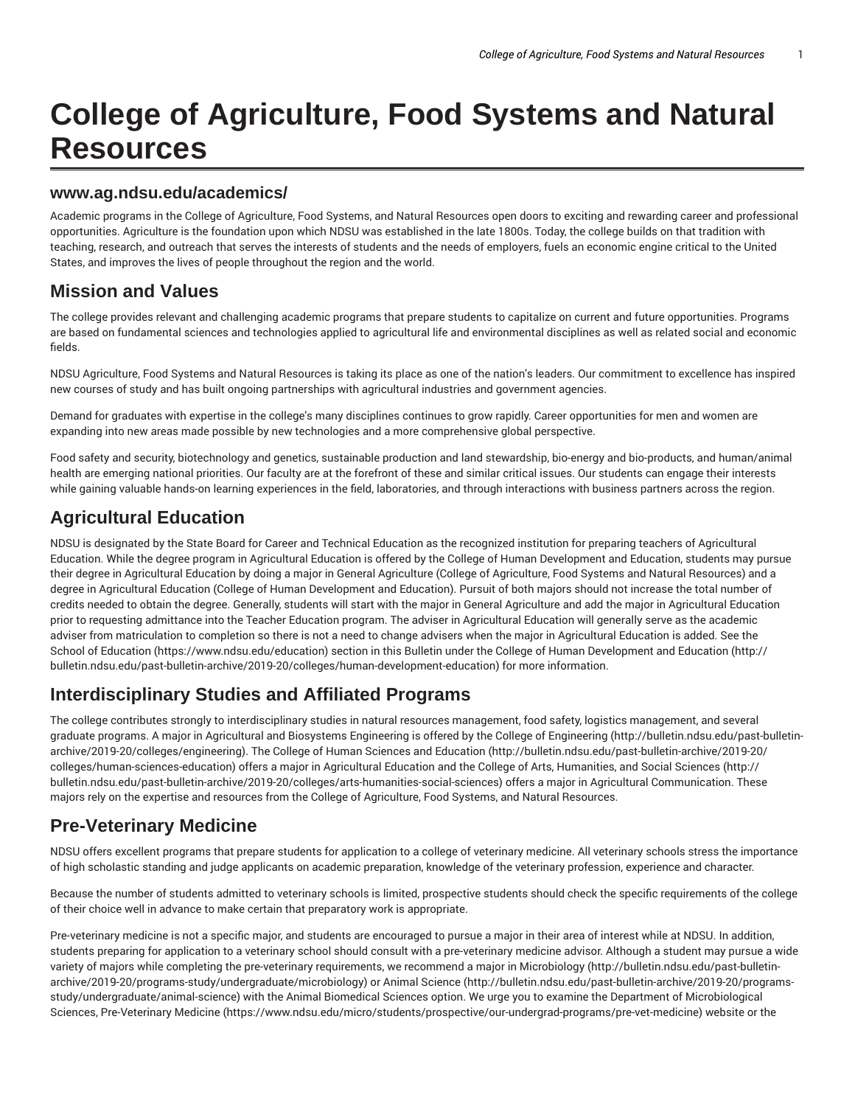# **College of Agriculture, Food Systems and Natural Resources**

#### **www.ag.ndsu.edu/academics/**

Academic programs in the College of Agriculture, Food Systems, and Natural Resources open doors to exciting and rewarding career and professional opportunities. Agriculture is the foundation upon which NDSU was established in the late 1800s. Today, the college builds on that tradition with teaching, research, and outreach that serves the interests of students and the needs of employers, fuels an economic engine critical to the United States, and improves the lives of people throughout the region and the world.

#### **Mission and Values**

The college provides relevant and challenging academic programs that prepare students to capitalize on current and future opportunities. Programs are based on fundamental sciences and technologies applied to agricultural life and environmental disciplines as well as related social and economic fields.

NDSU Agriculture, Food Systems and Natural Resources is taking its place as one of the nation's leaders. Our commitment to excellence has inspired new courses of study and has built ongoing partnerships with agricultural industries and government agencies.

Demand for graduates with expertise in the college's many disciplines continues to grow rapidly. Career opportunities for men and women are expanding into new areas made possible by new technologies and a more comprehensive global perspective.

Food safety and security, biotechnology and genetics, sustainable production and land stewardship, bio-energy and bio-products, and human/animal health are emerging national priorities. Our faculty are at the forefront of these and similar critical issues. Our students can engage their interests while gaining valuable hands-on learning experiences in the field, laboratories, and through interactions with business partners across the region.

# **Agricultural Education**

NDSU is designated by the State Board for Career and Technical Education as the recognized institution for preparing teachers of Agricultural Education. While the degree program in Agricultural Education is offered by the College of Human Development and Education, students may pursue their degree in Agricultural Education by doing a major in General Agriculture (College of Agriculture, Food Systems and Natural Resources) and a degree in Agricultural Education (College of Human Development and Education). Pursuit of both majors should not increase the total number of credits needed to obtain the degree. Generally, students will start with the major in General Agriculture and add the major in Agricultural Education prior to requesting admittance into the Teacher Education program. The adviser in Agricultural Education will generally serve as the academic adviser from matriculation to completion so there is not a need to change advisers when the major in Agricultural Education is added. See the School of Education (https://www.ndsu.edu/education) section in this Bulletin under the College of Human Development and Education (http:// bulletin.ndsu.edu/past-bulletin-archive/2019-20/colleges/human-development-education) for more information.

# **Interdisciplinary Studies and Affiliated Programs**

The college contributes strongly to interdisciplinary studies in natural resources management, food safety, logistics management, and several graduate programs. A major in Agricultural and Biosystems Engineering is offered by the College of Engineering (http://bulletin.ndsu.edu/past-bulletinarchive/2019-20/colleges/engineering). The College of Human Sciences and Education (http://bulletin.ndsu.edu/past-bulletin-archive/2019-20/ colleges/human-sciences-education) offers a major in Agricultural Education and the College of Arts, Humanities, and Social Sciences (http:// bulletin.ndsu.edu/past-bulletin-archive/2019-20/colleges/arts-humanities-social-sciences) offers a major in Agricultural Communication. These majors rely on the expertise and resources from the College of Agriculture, Food Systems, and Natural Resources.

### **Pre-Veterinary Medicine**

NDSU offers excellent programs that prepare students for application to a college of veterinary medicine. All veterinary schools stress the importance of high scholastic standing and judge applicants on academic preparation, knowledge of the veterinary profession, experience and character.

Because the number of students admitted to veterinary schools is limited, prospective students should check the specific requirements of the college of their choice well in advance to make certain that preparatory work is appropriate.

Pre-veterinary medicine is not a specific major, and students are encouraged to pursue a major in their area of interest while at NDSU. In addition, students preparing for application to a veterinary school should consult with a pre-veterinary medicine advisor. Although a student may pursue a wide variety of majors while completing the pre-veterinary requirements, we recommend a major in Microbiology (http://bulletin.ndsu.edu/past-bulletinarchive/2019-20/programs-study/undergraduate/microbiology) or Animal Science (http://bulletin.ndsu.edu/past-bulletin-archive/2019-20/programsstudy/undergraduate/animal-science) with the Animal Biomedical Sciences option. We urge you to examine the Department of Microbiological Sciences, Pre-Veterinary Medicine (https://www.ndsu.edu/micro/students/prospective/our-undergrad-programs/pre-vet-medicine) website or the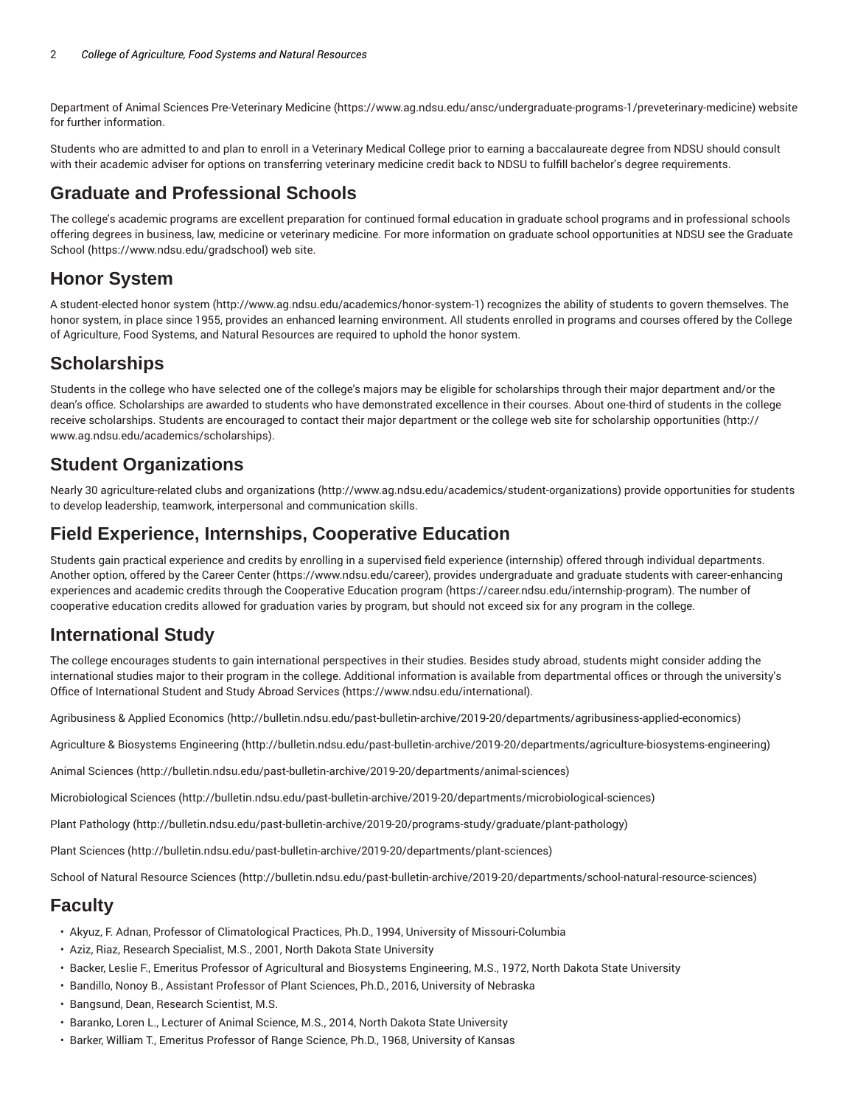Department of Animal Sciences Pre-Veterinary Medicine (https://www.ag.ndsu.edu/ansc/undergraduate-programs-1/preveterinary-medicine) website for further information.

Students who are admitted to and plan to enroll in a Veterinary Medical College prior to earning a baccalaureate degree from NDSU should consult with their academic adviser for options on transferring veterinary medicine credit back to NDSU to fulfill bachelor's degree requirements.

#### **Graduate and Professional Schools**

The college's academic programs are excellent preparation for continued formal education in graduate school programs and in professional schools offering degrees in business, law, medicine or veterinary medicine. For more information on graduate school opportunities at NDSU see the Graduate School (https://www.ndsu.edu/gradschool) web site.

### **Honor System**

A student-elected honor system (http://www.ag.ndsu.edu/academics/honor-system-1) recognizes the ability of students to govern themselves. The honor system, in place since 1955, provides an enhanced learning environment. All students enrolled in programs and courses offered by the College of Agriculture, Food Systems, and Natural Resources are required to uphold the honor system.

## **Scholarships**

Students in the college who have selected one of the college's majors may be eligible for scholarships through their major department and/or the dean's office. Scholarships are awarded to students who have demonstrated excellence in their courses. About one-third of students in the college receive scholarships. Students are encouraged to contact their major department or the college web site for scholarship opportunities (http:// www.ag.ndsu.edu/academics/scholarships).

#### **Student Organizations**

Nearly 30 agriculture-related clubs and organizations (http://www.ag.ndsu.edu/academics/student-organizations) provide opportunities for students to develop leadership, teamwork, interpersonal and communication skills.

### **Field Experience, Internships, Cooperative Education**

Students gain practical experience and credits by enrolling in a supervised field experience (internship) offered through individual departments. Another option, offered by the Career Center (https://www.ndsu.edu/career), provides undergraduate and graduate students with career-enhancing experiences and academic credits through the Cooperative Education program (https://career.ndsu.edu/internship-program). The number of cooperative education credits allowed for graduation varies by program, but should not exceed six for any program in the college.

### **International Study**

The college encourages students to gain international perspectives in their studies. Besides study abroad, students might consider adding the international studies major to their program in the college. Additional information is available from departmental offices or through the university's Office of International Student and Study Abroad Services (https://www.ndsu.edu/international).

Agribusiness & Applied Economics (http://bulletin.ndsu.edu/past-bulletin-archive/2019-20/departments/agribusiness-applied-economics)

Agriculture & Biosystems Engineering (http://bulletin.ndsu.edu/past-bulletin-archive/2019-20/departments/agriculture-biosystems-engineering)

Animal Sciences (http://bulletin.ndsu.edu/past-bulletin-archive/2019-20/departments/animal-sciences)

Microbiological Sciences (http://bulletin.ndsu.edu/past-bulletin-archive/2019-20/departments/microbiological-sciences)

Plant Pathology (http://bulletin.ndsu.edu/past-bulletin-archive/2019-20/programs-study/graduate/plant-pathology)

Plant Sciences (http://bulletin.ndsu.edu/past-bulletin-archive/2019-20/departments/plant-sciences)

School of Natural Resource Sciences (http://bulletin.ndsu.edu/past-bulletin-archive/2019-20/departments/school-natural-resource-sciences)

### **Faculty**

- Akyuz, F. Adnan, Professor of Climatological Practices, Ph.D., 1994, University of Missouri-Columbia
- Aziz, Riaz, Research Specialist, M.S., 2001, North Dakota State University
- Backer, Leslie F., Emeritus Professor of Agricultural and Biosystems Engineering, M.S., 1972, North Dakota State University
- Bandillo, Nonoy B., Assistant Professor of Plant Sciences, Ph.D., 2016, University of Nebraska
- Bangsund, Dean, Research Scientist, M.S.
- Baranko, Loren L., Lecturer of Animal Science, M.S., 2014, North Dakota State University
- Barker, William T., Emeritus Professor of Range Science, Ph.D., 1968, University of Kansas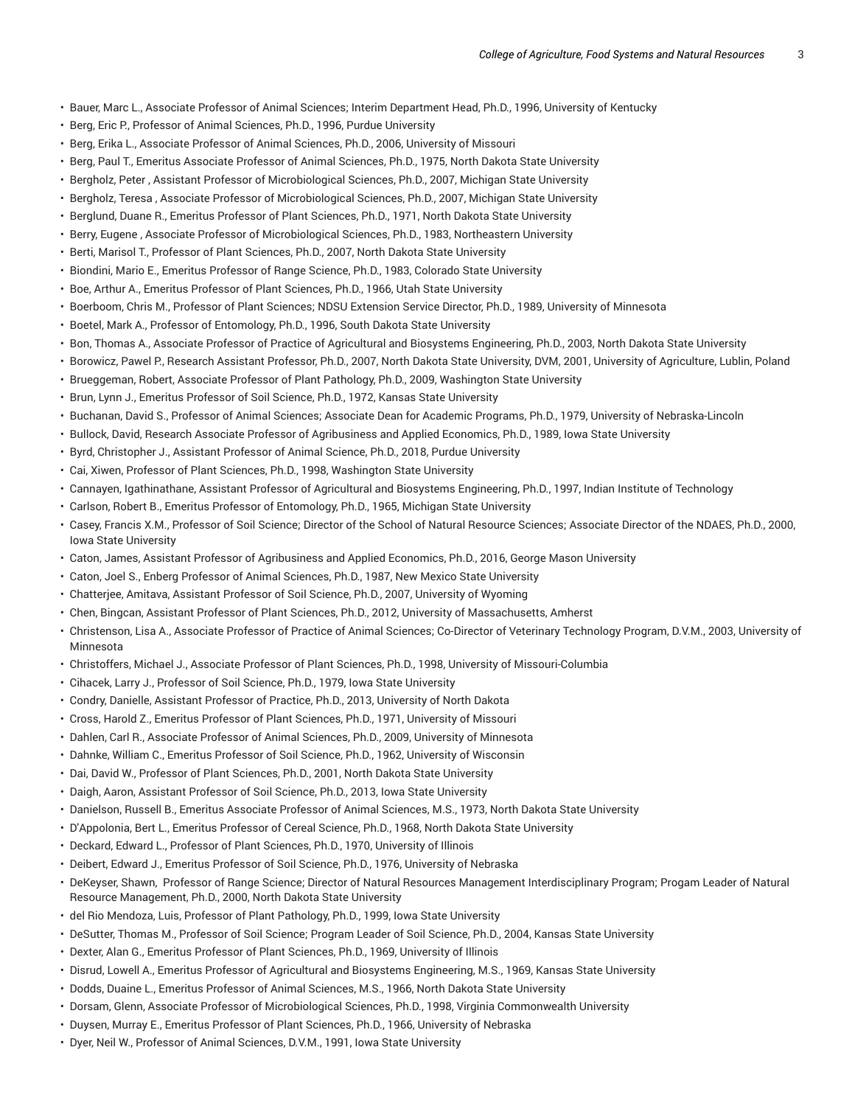- Bauer, Marc L., Associate Professor of Animal Sciences; Interim Department Head, Ph.D., 1996, University of Kentucky
- Berg, Eric P., Professor of Animal Sciences, Ph.D., 1996, Purdue University
- Berg, Erika L., Associate Professor of Animal Sciences, Ph.D., 2006, University of Missouri
- Berg, Paul T., Emeritus Associate Professor of Animal Sciences, Ph.D., 1975, North Dakota State University
- Bergholz, Peter , Assistant Professor of Microbiological Sciences, Ph.D., 2007, Michigan State University
- Bergholz, Teresa , Associate Professor of Microbiological Sciences, Ph.D., 2007, Michigan State University
- Berglund, Duane R., Emeritus Professor of Plant Sciences, Ph.D., 1971, North Dakota State University
- Berry, Eugene , Associate Professor of Microbiological Sciences, Ph.D., 1983, Northeastern University
- Berti, Marisol T., Professor of Plant Sciences, Ph.D., 2007, North Dakota State University
- Biondini, Mario E., Emeritus Professor of Range Science, Ph.D., 1983, Colorado State University
- Boe, Arthur A., Emeritus Professor of Plant Sciences, Ph.D., 1966, Utah State University
- Boerboom, Chris M., Professor of Plant Sciences; NDSU Extension Service Director, Ph.D., 1989, University of Minnesota
- Boetel, Mark A., Professor of Entomology, Ph.D., 1996, South Dakota State University
- Bon, Thomas A., Associate Professor of Practice of Agricultural and Biosystems Engineering, Ph.D., 2003, North Dakota State University
- Borowicz, Pawel P., Research Assistant Professor, Ph.D., 2007, North Dakota State University, DVM, 2001, University of Agriculture, Lublin, Poland
- Brueggeman, Robert, Associate Professor of Plant Pathology, Ph.D., 2009, Washington State University
- Brun, Lynn J., Emeritus Professor of Soil Science, Ph.D., 1972, Kansas State University
- Buchanan, David S., Professor of Animal Sciences; Associate Dean for Academic Programs, Ph.D., 1979, University of Nebraska-Lincoln
- Bullock, David, Research Associate Professor of Agribusiness and Applied Economics, Ph.D., 1989, Iowa State University
- Byrd, Christopher J., Assistant Professor of Animal Science, Ph.D., 2018, Purdue University
- Cai, Xiwen, Professor of Plant Sciences, Ph.D., 1998, Washington State University
- Cannayen, Igathinathane, Assistant Professor of Agricultural and Biosystems Engineering, Ph.D., 1997, Indian Institute of Technology
- Carlson, Robert B., Emeritus Professor of Entomology, Ph.D., 1965, Michigan State University
- Casey, Francis X.M., Professor of Soil Science; Director of the School of Natural Resource Sciences; Associate Director of the NDAES, Ph.D., 2000, Iowa State University
- Caton, James, Assistant Professor of Agribusiness and Applied Economics, Ph.D., 2016, George Mason University
- Caton, Joel S., Enberg Professor of Animal Sciences, Ph.D., 1987, New Mexico State University
- Chatterjee, Amitava, Assistant Professor of Soil Science, Ph.D., 2007, University of Wyoming
- Chen, Bingcan, Assistant Professor of Plant Sciences, Ph.D., 2012, University of Massachusetts, Amherst
- Christenson, Lisa A., Associate Professor of Practice of Animal Sciences; Co-Director of Veterinary Technology Program, D.V.M., 2003, University of Minnesota
- Christoffers, Michael J., Associate Professor of Plant Sciences, Ph.D., 1998, University of Missouri-Columbia
- Cihacek, Larry J., Professor of Soil Science, Ph.D., 1979, Iowa State University
- Condry, Danielle, Assistant Professor of Practice, Ph.D., 2013, University of North Dakota
- Cross, Harold Z., Emeritus Professor of Plant Sciences, Ph.D., 1971, University of Missouri
- Dahlen, Carl R., Associate Professor of Animal Sciences, Ph.D., 2009, University of Minnesota
- Dahnke, William C., Emeritus Professor of Soil Science, Ph.D., 1962, University of Wisconsin
- Dai, David W., Professor of Plant Sciences, Ph.D., 2001, North Dakota State University
- Daigh, Aaron, Assistant Professor of Soil Science, Ph.D., 2013, Iowa State University
- Danielson, Russell B., Emeritus Associate Professor of Animal Sciences, M.S., 1973, North Dakota State University
- D'Appolonia, Bert L., Emeritus Professor of Cereal Science, Ph.D., 1968, North Dakota State University
- Deckard, Edward L., Professor of Plant Sciences, Ph.D., 1970, University of Illinois
- Deibert, Edward J., Emeritus Professor of Soil Science, Ph.D., 1976, University of Nebraska
- DeKeyser, Shawn, Professor of Range Science; Director of Natural Resources Management Interdisciplinary Program; Progam Leader of Natural Resource Management, Ph.D., 2000, North Dakota State University
- del Rio Mendoza, Luis, Professor of Plant Pathology, Ph.D., 1999, Iowa State University
- DeSutter, Thomas M., Professor of Soil Science; Program Leader of Soil Science, Ph.D., 2004, Kansas State University
- Dexter, Alan G., Emeritus Professor of Plant Sciences, Ph.D., 1969, University of Illinois
- Disrud, Lowell A., Emeritus Professor of Agricultural and Biosystems Engineering, M.S., 1969, Kansas State University
- Dodds, Duaine L., Emeritus Professor of Animal Sciences, M.S., 1966, North Dakota State University
- Dorsam, Glenn, Associate Professor of Microbiological Sciences, Ph.D., 1998, Virginia Commonwealth University
- Duysen, Murray E., Emeritus Professor of Plant Sciences, Ph.D., 1966, University of Nebraska
- Dyer, Neil W., Professor of Animal Sciences, D.V.M., 1991, Iowa State University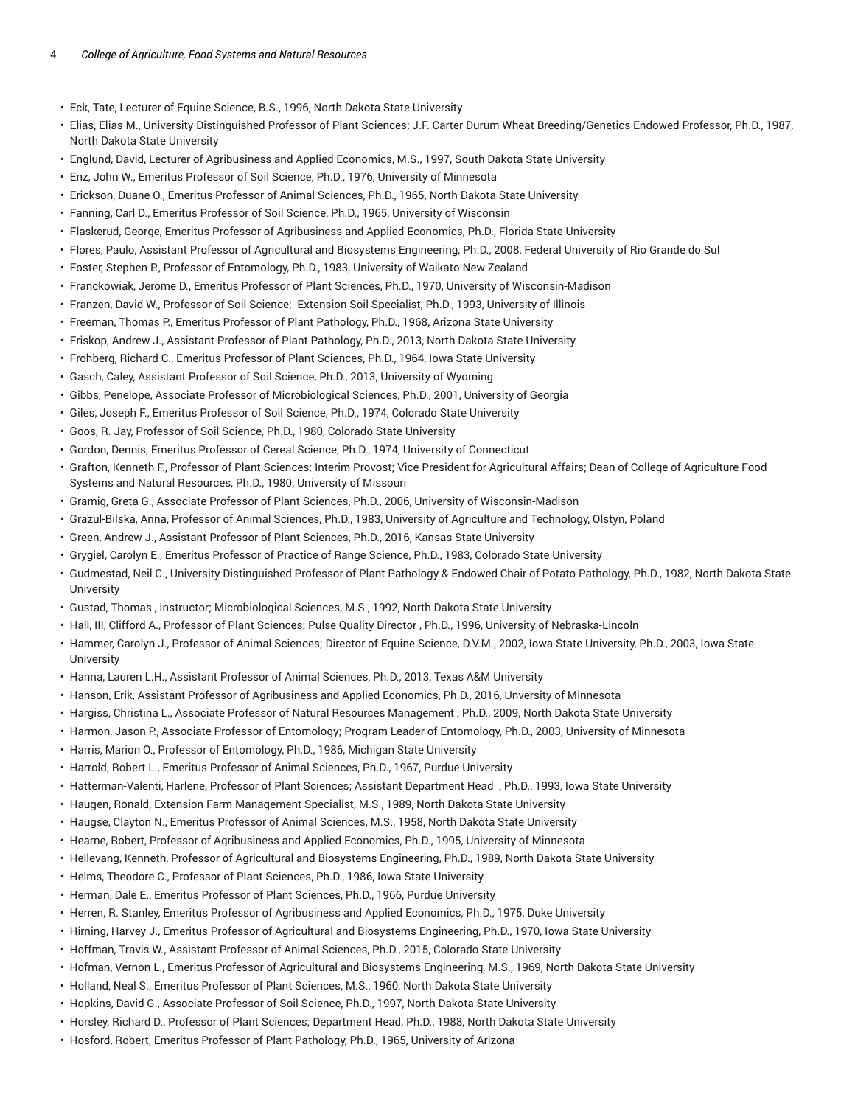- Eck, Tate, Lecturer of Equine Science, B.S., 1996, North Dakota State University
- Elias, Elias M., University Distinguished Professor of Plant Sciences; J.F. Carter Durum Wheat Breeding/Genetics Endowed Professor, Ph.D., 1987, North Dakota State University
- Englund, David, Lecturer of Agribusiness and Applied Economics, M.S., 1997, South Dakota State University
- Enz, John W., Emeritus Professor of Soil Science, Ph.D., 1976, University of Minnesota
- Erickson, Duane O., Emeritus Professor of Animal Sciences, Ph.D., 1965, North Dakota State University
- Fanning, Carl D., Emeritus Professor of Soil Science, Ph.D., 1965, University of Wisconsin
- Flaskerud, George, Emeritus Professor of Agribusiness and Applied Economics, Ph.D., Florida State University
- Flores, Paulo, Assistant Professor of Agricultural and Biosystems Engineering, Ph.D., 2008, Federal University of Rio Grande do Sul
- Foster, Stephen P., Professor of Entomology, Ph.D., 1983, University of Waikato-New Zealand
- Franckowiak, Jerome D., Emeritus Professor of Plant Sciences, Ph.D., 1970, University of Wisconsin-Madison
- Franzen, David W., Professor of Soil Science; Extension Soil Specialist, Ph.D., 1993, University of Illinois
- Freeman, Thomas P., Emeritus Professor of Plant Pathology, Ph.D., 1968, Arizona State University
- Friskop, Andrew J., Assistant Professor of Plant Pathology, Ph.D., 2013, North Dakota State University
- Frohberg, Richard C., Emeritus Professor of Plant Sciences, Ph.D., 1964, Iowa State University
- Gasch, Caley, Assistant Professor of Soil Science, Ph.D., 2013, University of Wyoming
- Gibbs, Penelope, Associate Professor of Microbiological Sciences, Ph.D., 2001, University of Georgia
- Giles, Joseph F., Emeritus Professor of Soil Science, Ph.D., 1974, Colorado State University
- Goos, R. Jay, Professor of Soil Science, Ph.D., 1980, Colorado State University
- Gordon, Dennis, Emeritus Professor of Cereal Science, Ph.D., 1974, University of Connecticut
- Grafton, Kenneth F., Professor of Plant Sciences; Interim Provost; Vice President for Agricultural Affairs; Dean of College of Agriculture Food Systems and Natural Resources, Ph.D., 1980, University of Missouri
- Gramig, Greta G., Associate Professor of Plant Sciences, Ph.D., 2006, University of Wisconsin-Madison
- Grazul-Bilska, Anna, Professor of Animal Sciences, Ph.D., 1983, University of Agriculture and Technology, Olstyn, Poland
- Green, Andrew J., Assistant Professor of Plant Sciences, Ph.D., 2016, Kansas State University
- Grygiel, Carolyn E., Emeritus Professor of Practice of Range Science, Ph.D., 1983, Colorado State University
- Gudmestad, Neil C., University Distinguished Professor of Plant Pathology & Endowed Chair of Potato Pathology, Ph.D., 1982, North Dakota State University
- Gustad, Thomas , Instructor; Microbiological Sciences, M.S., 1992, North Dakota State University
- Hall, III, Clifford A., Professor of Plant Sciences; Pulse Quality Director , Ph.D., 1996, University of Nebraska-Lincoln
- Hammer, Carolyn J., Professor of Animal Sciences; Director of Equine Science, D.V.M., 2002, Iowa State University, Ph.D., 2003, Iowa State **University**
- Hanna, Lauren L.H., Assistant Professor of Animal Sciences, Ph.D., 2013, Texas A&M University
- Hanson, Erik, Assistant Professor of Agribusiness and Applied Economics, Ph.D., 2016, Unversity of Minnesota
- Hargiss, Christina L., Associate Professor of Natural Resources Management , Ph.D., 2009, North Dakota State University
- Harmon, Jason P., Associate Professor of Entomology; Program Leader of Entomology, Ph.D., 2003, University of Minnesota
- Harris, Marion O., Professor of Entomology, Ph.D., 1986, Michigan State University
- Harrold, Robert L., Emeritus Professor of Animal Sciences, Ph.D., 1967, Purdue University
- Hatterman-Valenti, Harlene, Professor of Plant Sciences; Assistant Department Head , Ph.D., 1993, Iowa State University
- Haugen, Ronald, Extension Farm Management Specialist, M.S., 1989, North Dakota State University
- Haugse, Clayton N., Emeritus Professor of Animal Sciences, M.S., 1958, North Dakota State University
- Hearne, Robert, Professor of Agribusiness and Applied Economics, Ph.D., 1995, University of Minnesota
- Hellevang, Kenneth, Professor of Agricultural and Biosystems Engineering, Ph.D., 1989, North Dakota State University
- Helms, Theodore C., Professor of Plant Sciences, Ph.D., 1986, Iowa State University
- Herman, Dale E., Emeritus Professor of Plant Sciences, Ph.D., 1966, Purdue University
- Herren, R. Stanley, Emeritus Professor of Agribusiness and Applied Economics, Ph.D., 1975, Duke University
- Hirning, Harvey J., Emeritus Professor of Agricultural and Biosystems Engineering, Ph.D., 1970, Iowa State University
- Hoffman, Travis W., Assistant Professor of Animal Sciences, Ph.D., 2015, Colorado State University
- Hofman, Vernon L., Emeritus Professor of Agricultural and Biosystems Engineering, M.S., 1969, North Dakota State University
- Holland, Neal S., Emeritus Professor of Plant Sciences, M.S., 1960, North Dakota State University
- Hopkins, David G., Associate Professor of Soil Science, Ph.D., 1997, North Dakota State University
- Horsley, Richard D., Professor of Plant Sciences; Department Head, Ph.D., 1988, North Dakota State University
- Hosford, Robert, Emeritus Professor of Plant Pathology, Ph.D., 1965, University of Arizona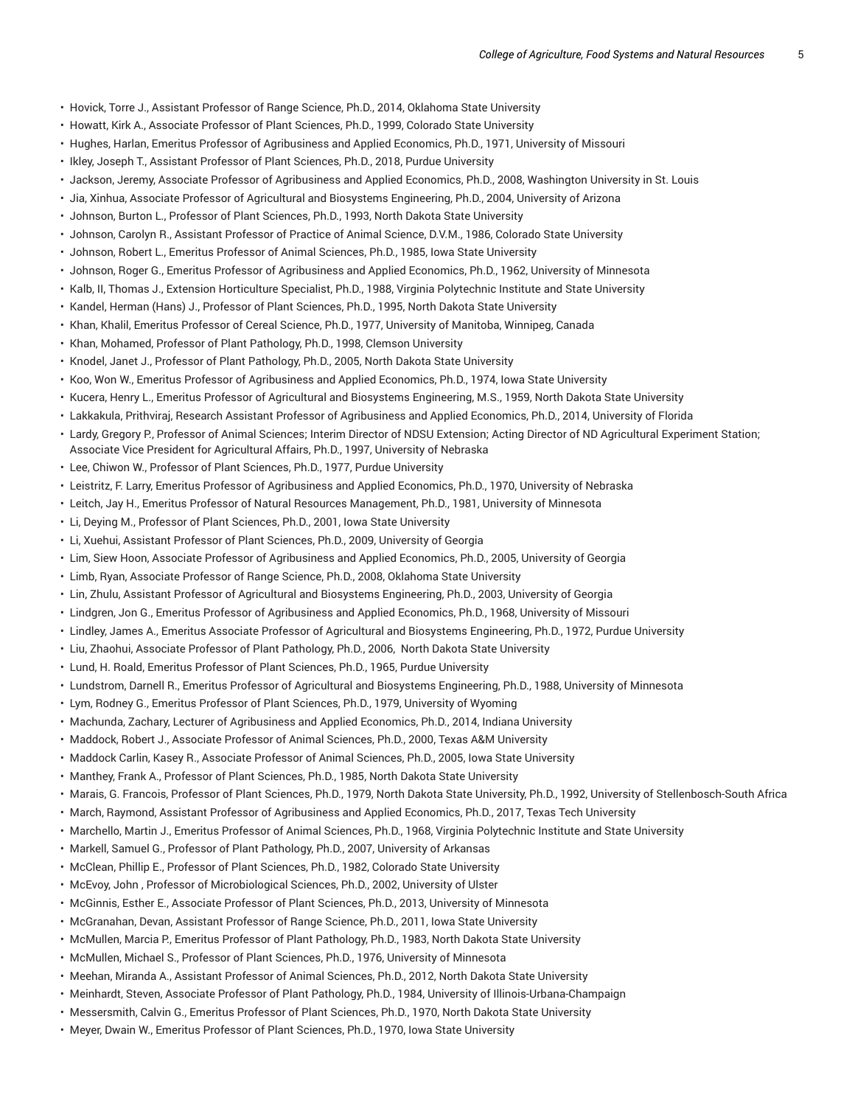- Hovick, Torre J., Assistant Professor of Range Science, Ph.D., 2014, Oklahoma State University
- Howatt, Kirk A., Associate Professor of Plant Sciences, Ph.D., 1999, Colorado State University
- Hughes, Harlan, Emeritus Professor of Agribusiness and Applied Economics, Ph.D., 1971, University of Missouri
- Ikley, Joseph T., Assistant Professor of Plant Sciences, Ph.D., 2018, Purdue University
- Jackson, Jeremy, Associate Professor of Agribusiness and Applied Economics, Ph.D., 2008, Washington University in St. Louis
- Jia, Xinhua, Associate Professor of Agricultural and Biosystems Engineering, Ph.D., 2004, University of Arizona
- Johnson, Burton L., Professor of Plant Sciences, Ph.D., 1993, North Dakota State University
- Johnson, Carolyn R., Assistant Professor of Practice of Animal Science, D.V.M., 1986, Colorado State University
- Johnson, Robert L., Emeritus Professor of Animal Sciences, Ph.D., 1985, Iowa State University
- Johnson, Roger G., Emeritus Professor of Agribusiness and Applied Economics, Ph.D., 1962, University of Minnesota
- Kalb, II, Thomas J., Extension Horticulture Specialist, Ph.D., 1988, Virginia Polytechnic Institute and State University
- Kandel, Herman (Hans) J., Professor of Plant Sciences, Ph.D., 1995, North Dakota State University
- Khan, Khalil, Emeritus Professor of Cereal Science, Ph.D., 1977, University of Manitoba, Winnipeg, Canada
- Khan, Mohamed, Professor of Plant Pathology, Ph.D., 1998, Clemson University
- Knodel, Janet J., Professor of Plant Pathology, Ph.D., 2005, North Dakota State University
- Koo, Won W., Emeritus Professor of Agribusiness and Applied Economics, Ph.D., 1974, Iowa State University
- Kucera, Henry L., Emeritus Professor of Agricultural and Biosystems Engineering, M.S., 1959, North Dakota State University
- Lakkakula, Prithviraj, Research Assistant Professor of Agribusiness and Applied Economics, Ph.D., 2014, University of Florida
- Lardy, Gregory P., Professor of Animal Sciences; Interim Director of NDSU Extension; Acting Director of ND Agricultural Experiment Station; Associate Vice President for Agricultural Affairs, Ph.D., 1997, University of Nebraska
- Lee, Chiwon W., Professor of Plant Sciences, Ph.D., 1977, Purdue University
- Leistritz, F. Larry, Emeritus Professor of Agribusiness and Applied Economics, Ph.D., 1970, University of Nebraska
- Leitch, Jay H., Emeritus Professor of Natural Resources Management, Ph.D., 1981, University of Minnesota
- Li, Deying M., Professor of Plant Sciences, Ph.D., 2001, Iowa State University
- Li, Xuehui, Assistant Professor of Plant Sciences, Ph.D., 2009, University of Georgia
- Lim, Siew Hoon, Associate Professor of Agribusiness and Applied Economics, Ph.D., 2005, University of Georgia
- Limb, Ryan, Associate Professor of Range Science, Ph.D., 2008, Oklahoma State University
- Lin, Zhulu, Assistant Professor of Agricultural and Biosystems Engineering, Ph.D., 2003, University of Georgia
- Lindgren, Jon G., Emeritus Professor of Agribusiness and Applied Economics, Ph.D., 1968, University of Missouri
- Lindley, James A., Emeritus Associate Professor of Agricultural and Biosystems Engineering, Ph.D., 1972, Purdue University
- Liu, Zhaohui, Associate Professor of Plant Pathology, Ph.D., 2006, North Dakota State University
- Lund, H. Roald, Emeritus Professor of Plant Sciences, Ph.D., 1965, Purdue University
- Lundstrom, Darnell R., Emeritus Professor of Agricultural and Biosystems Engineering, Ph.D., 1988, University of Minnesota
- Lym, Rodney G., Emeritus Professor of Plant Sciences, Ph.D., 1979, University of Wyoming
- Machunda, Zachary, Lecturer of Agribusiness and Applied Economics, Ph.D., 2014, Indiana University
- Maddock, Robert J., Associate Professor of Animal Sciences, Ph.D., 2000, Texas A&M University
- Maddock Carlin, Kasey R., Associate Professor of Animal Sciences, Ph.D., 2005, Iowa State University
- Manthey, Frank A., Professor of Plant Sciences, Ph.D., 1985, North Dakota State University
- Marais, G. Francois, Professor of Plant Sciences, Ph.D., 1979, North Dakota State University, Ph.D., 1992, University of Stellenbosch-South Africa
- March, Raymond, Assistant Professor of Agribusiness and Applied Economics, Ph.D., 2017, Texas Tech University
- Marchello, Martin J., Emeritus Professor of Animal Sciences, Ph.D., 1968, Virginia Polytechnic Institute and State University
- Markell, Samuel G., Professor of Plant Pathology, Ph.D., 2007, University of Arkansas
- McClean, Phillip E., Professor of Plant Sciences, Ph.D., 1982, Colorado State University
- McEvoy, John , Professor of Microbiological Sciences, Ph.D., 2002, University of Ulster
- McGinnis, Esther E., Associate Professor of Plant Sciences, Ph.D., 2013, University of Minnesota
- McGranahan, Devan, Assistant Professor of Range Science, Ph.D., 2011, Iowa State University
- McMullen, Marcia P., Emeritus Professor of Plant Pathology, Ph.D., 1983, North Dakota State University
- McMullen, Michael S., Professor of Plant Sciences, Ph.D., 1976, University of Minnesota
- Meehan, Miranda A., Assistant Professor of Animal Sciences, Ph.D., 2012, North Dakota State University
- Meinhardt, Steven, Associate Professor of Plant Pathology, Ph.D., 1984, University of Illinois-Urbana-Champaign
- Messersmith, Calvin G., Emeritus Professor of Plant Sciences, Ph.D., 1970, North Dakota State University
- Meyer, Dwain W., Emeritus Professor of Plant Sciences, Ph.D., 1970, Iowa State University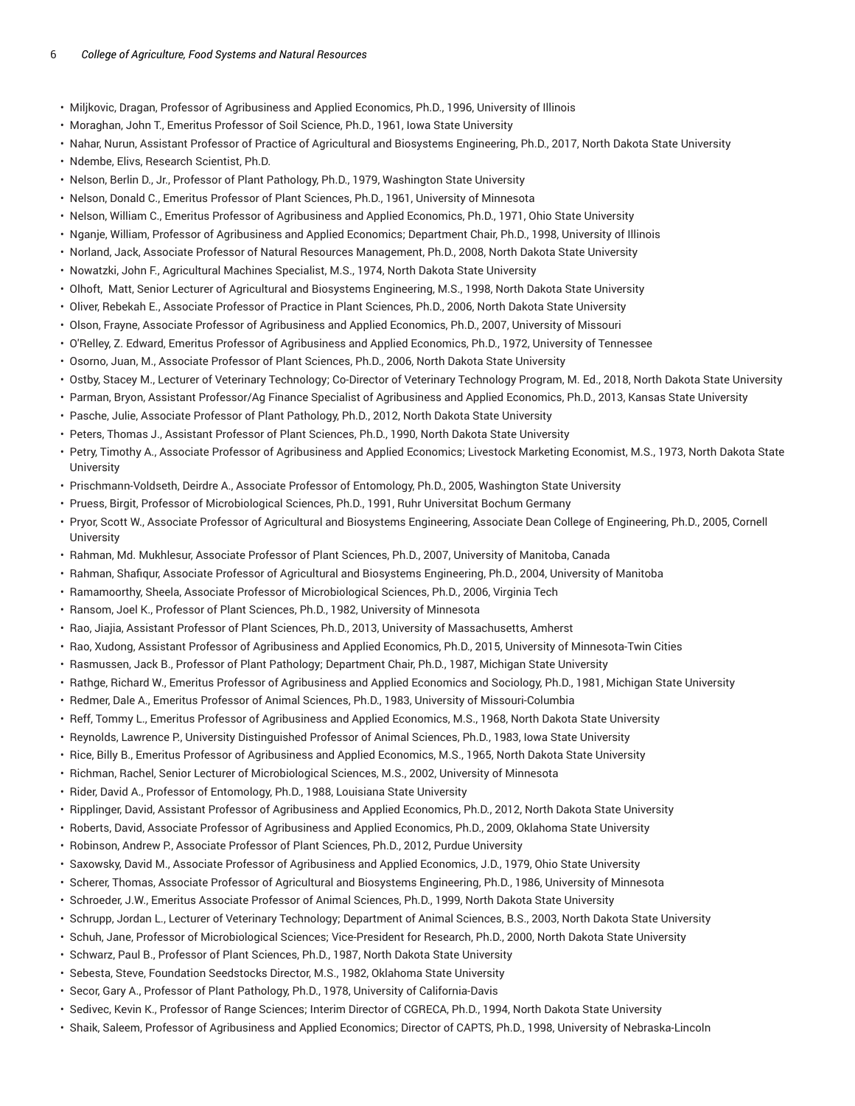- Miljkovic, Dragan, Professor of Agribusiness and Applied Economics, Ph.D., 1996, University of Illinois
- Moraghan, John T., Emeritus Professor of Soil Science, Ph.D., 1961, Iowa State University
- Nahar, Nurun, Assistant Professor of Practice of Agricultural and Biosystems Engineering, Ph.D., 2017, North Dakota State University
- Ndembe, Elivs, Research Scientist, Ph.D.
- Nelson, Berlin D., Jr., Professor of Plant Pathology, Ph.D., 1979, Washington State University
- Nelson, Donald C., Emeritus Professor of Plant Sciences, Ph.D., 1961, University of Minnesota
- Nelson, William C., Emeritus Professor of Agribusiness and Applied Economics, Ph.D., 1971, Ohio State University
- Nganje, William, Professor of Agribusiness and Applied Economics; Department Chair, Ph.D., 1998, University of Illinois
- Norland, Jack, Associate Professor of Natural Resources Management, Ph.D., 2008, North Dakota State University
- Nowatzki, John F., Agricultural Machines Specialist, M.S., 1974, North Dakota State University
- Olhoft, Matt, Senior Lecturer of Agricultural and Biosystems Engineering, M.S., 1998, North Dakota State University
- Oliver, Rebekah E., Associate Professor of Practice in Plant Sciences, Ph.D., 2006, North Dakota State University
- Olson, Frayne, Associate Professor of Agribusiness and Applied Economics, Ph.D., 2007, University of Missouri
- O'Relley, Z. Edward, Emeritus Professor of Agribusiness and Applied Economics, Ph.D., 1972, University of Tennessee
- Osorno, Juan, M., Associate Professor of Plant Sciences, Ph.D., 2006, North Dakota State University
- Ostby, Stacey M., Lecturer of Veterinary Technology; Co-Director of Veterinary Technology Program, M. Ed., 2018, North Dakota State University
- Parman, Bryon, Assistant Professor/Ag Finance Specialist of Agribusiness and Applied Economics, Ph.D., 2013, Kansas State University
- Pasche, Julie, Associate Professor of Plant Pathology, Ph.D., 2012, North Dakota State University
- Peters, Thomas J., Assistant Professor of Plant Sciences, Ph.D., 1990, North Dakota State University
- Petry, Timothy A., Associate Professor of Agribusiness and Applied Economics; Livestock Marketing Economist, M.S., 1973, North Dakota State University
- Prischmann-Voldseth, Deirdre A., Associate Professor of Entomology, Ph.D., 2005, Washington State University
- Pruess, Birgit, Professor of Microbiological Sciences, Ph.D., 1991, Ruhr Universitat Bochum Germany
- Pryor, Scott W., Associate Professor of Agricultural and Biosystems Engineering, Associate Dean College of Engineering, Ph.D., 2005, Cornell **University**
- Rahman, Md. Mukhlesur, Associate Professor of Plant Sciences, Ph.D., 2007, University of Manitoba, Canada
- Rahman, Shafiqur, Associate Professor of Agricultural and Biosystems Engineering, Ph.D., 2004, University of Manitoba
- Ramamoorthy, Sheela, Associate Professor of Microbiological Sciences, Ph.D., 2006, Virginia Tech
- Ransom, Joel K., Professor of Plant Sciences, Ph.D., 1982, University of Minnesota
- Rao, Jiajia, Assistant Professor of Plant Sciences, Ph.D., 2013, University of Massachusetts, Amherst
- Rao, Xudong, Assistant Professor of Agribusiness and Applied Economics, Ph.D., 2015, University of Minnesota-Twin Cities
- Rasmussen, Jack B., Professor of Plant Pathology; Department Chair, Ph.D., 1987, Michigan State University
- Rathge, Richard W., Emeritus Professor of Agribusiness and Applied Economics and Sociology, Ph.D., 1981, Michigan State University
- Redmer, Dale A., Emeritus Professor of Animal Sciences, Ph.D., 1983, University of Missouri-Columbia
- Reff, Tommy L., Emeritus Professor of Agribusiness and Applied Economics, M.S., 1968, North Dakota State University
- Reynolds, Lawrence P., University Distinguished Professor of Animal Sciences, Ph.D., 1983, Iowa State University
- Rice, Billy B., Emeritus Professor of Agribusiness and Applied Economics, M.S., 1965, North Dakota State University
- Richman, Rachel, Senior Lecturer of Microbiological Sciences, M.S., 2002, University of Minnesota
- Rider, David A., Professor of Entomology, Ph.D., 1988, Louisiana State University
- Ripplinger, David, Assistant Professor of Agribusiness and Applied Economics, Ph.D., 2012, North Dakota State University
- Roberts, David, Associate Professor of Agribusiness and Applied Economics, Ph.D., 2009, Oklahoma State University
- Robinson, Andrew P., Associate Professor of Plant Sciences, Ph.D., 2012, Purdue University
- Saxowsky, David M., Associate Professor of Agribusiness and Applied Economics, J.D., 1979, Ohio State University
- Scherer, Thomas, Associate Professor of Agricultural and Biosystems Engineering, Ph.D., 1986, University of Minnesota
- Schroeder, J.W., Emeritus Associate Professor of Animal Sciences, Ph.D., 1999, North Dakota State University
- Schrupp, Jordan L., Lecturer of Veterinary Technology; Department of Animal Sciences, B.S., 2003, North Dakota State University
- Schuh, Jane, Professor of Microbiological Sciences; Vice-President for Research, Ph.D., 2000, North Dakota State University
- Schwarz, Paul B., Professor of Plant Sciences, Ph.D., 1987, North Dakota State University
- Sebesta, Steve, Foundation Seedstocks Director, M.S., 1982, Oklahoma State University
- Secor, Gary A., Professor of Plant Pathology, Ph.D., 1978, University of California-Davis
- Sedivec, Kevin K., Professor of Range Sciences; Interim Director of CGRECA, Ph.D., 1994, North Dakota State University
- Shaik, Saleem, Professor of Agribusiness and Applied Economics; Director of CAPTS, Ph.D., 1998, University of Nebraska-Lincoln